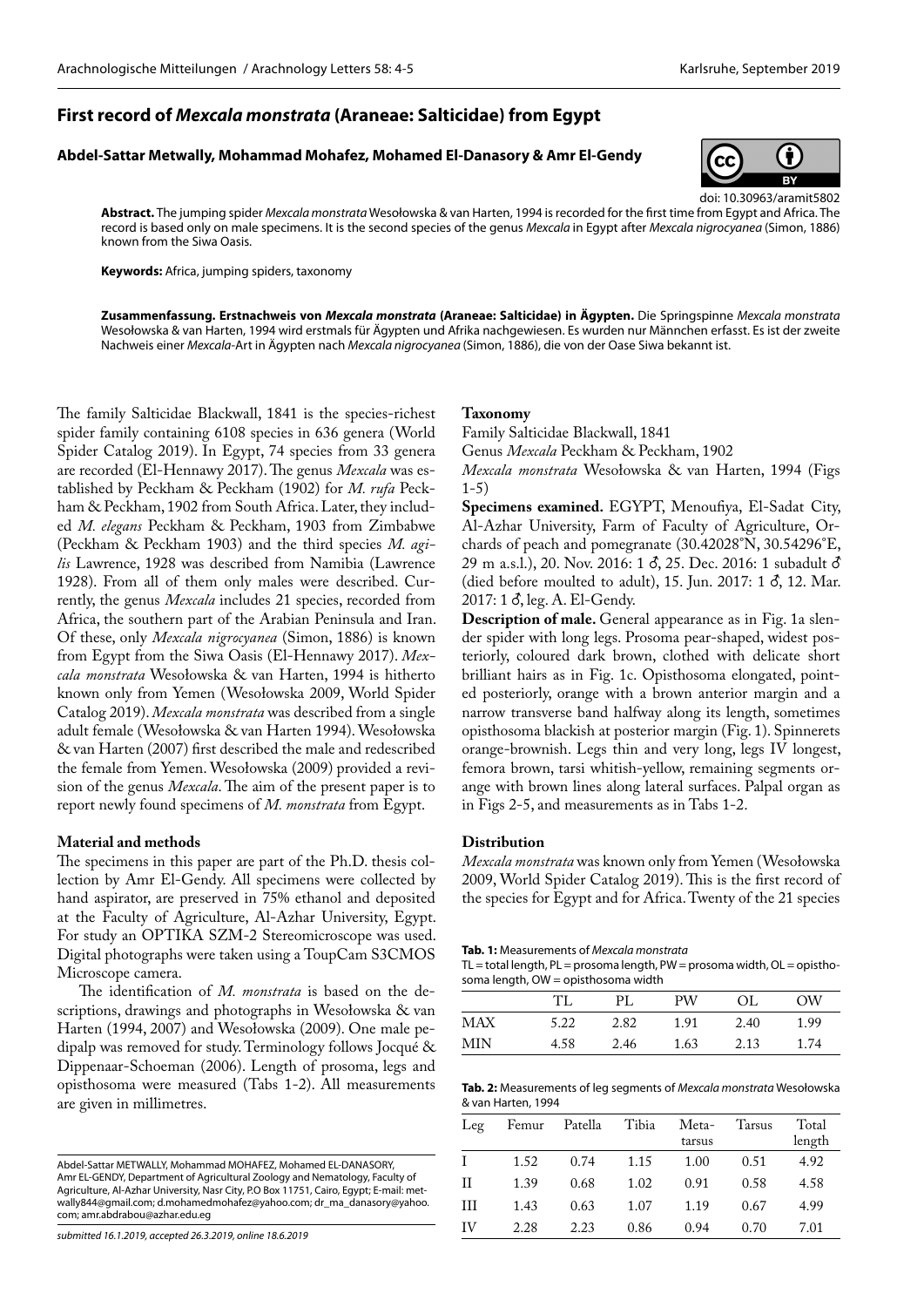# **First record of** *Mexcala monstrata* **(Araneae: Salticidae) from Egypt**

#### **Abdel-Sattar Metwally, Mohammad Mohafez, Mohamed El-Danasory & Amr El-Gendy**



doi: 10.30963/aramit5802 **Abstract.** The jumping spider *Mexcala monstrata* Wesołowska & van Harten, 1994 is recorded for the first time from Egypt and Africa. The record is based only on male specimens. It is the second species of the genus *Mexcala* in Egypt after *Mexcala nigrocyanea* (Simon, 1886) known from the Siwa Oasis.

**Keywords:** Africa, jumping spiders, taxonomy

**Zusammenfassung. Erstnachweis von** *Mexcala monstrata* **(Araneae: Salticidae) in Ägypten.** Die Springspinne *Mexcala monstrata*  Wesołowska & van Harten, 1994 wird erstmals für Ägypten und Afrika nachgewiesen. Es wurden nur Männchen erfasst. Es ist der zweite Nachweis einer *Mexcala*-Art in Ägypten nach *Mexcala nigrocyanea* (Simon, 1886), die von der Oase Siwa bekannt ist.

The family Salticidae Blackwall, 1841 is the species-richest spider family containing 6108 species in 636 genera (World Spider Catalog 2019). In Egypt, 74 species from 33 genera are recorded (El-Hennawy 2017). The genus *Mexcala* was established by Peckham & Peckham (1902) for *M. rufa* Peckham & Peckham, 1902 from South Africa. Later, they included *M. elegans* Peckham & Peckham, 1903 from Zimbabwe (Peckham & Peckham 1903) and the third species *M. agilis* Lawrence, 1928 was described from Namibia (Lawrence 1928). From all of them only males were described. Currently, the genus *Mexcala* includes 21 species, recorded from Africa, the southern part of the Arabian Peninsula and Iran. Of these, only *Mexcala nigrocyanea* (Simon, 1886) is known from Egypt from the Siwa Oasis (El-Hennawy 2017). *Mexcala monstrata* Wesołowska & van Harten, 1994 is hitherto known only from Yemen (Wesołowska 2009, World Spider Catalog 2019). *Mexcala monstrata* was described from a single adult female (Wesołowska & van Harten 1994). Wesołowska & van Harten (2007) first described the male and redescribed the female from Yemen. Wesołowska (2009) provided a revision of the genus *Mexcala*. The aim of the present paper is to report newly found specimens of *M. monstrata* from Egypt.

# **Material and methods**

The specimens in this paper are part of the Ph.D. thesis collection by Amr El-Gendy. All specimens were collected by hand aspirator, are preserved in 75% ethanol and deposited at the Faculty of Agriculture, Al-Azhar University, Egypt. For study an OPTIKA SZM-2 Stereomicroscope was used. Digital photographs were taken using a ToupCam S3CMOS Microscope camera.

The identification of *M. monstrata* is based on the descriptions, drawings and photographs in Wesołowska & van Harten (1994, 2007) and Wesołowska (2009). One male pedipalp was removed for study. Terminology follows Jocqué & Dippenaar-Schoeman (2006). Length of prosoma, legs and opisthosoma were measured (Tabs 1-2). All measurements are given in millimetres.

*submitted 16.1.2019, accepted 26.3.2019, online 18.6.2019*

## **Taxonomy**

Family Salticidae Blackwall, 1841

Genus *Mexcala* Peckham & Peckham, 1902

*Mexcala monstrata* Wesołowska & van Harten, 1994 (Figs  $1-5)$ 

**Specimens examined.** EGYPT, Menoufiya, El-Sadat City, Al-Azhar University, Farm of Faculty of Agriculture, Orchards of peach and pomegranate (30.42028°N, 30.54296°E, 29 m a.s.l.), 20. Nov. 2016: 1 8, 25. Dec. 2016: 1 subadult  $\delta$ (died before moulted to adult), 15. Jun. 2017: 1  $\delta$ , 12. Mar. 2017: 1  $\delta$ , leg. A. El-Gendy.

**Description of male.** General appearance as in Fig. 1a slender spider with long legs. Prosoma pear-shaped, widest posteriorly, coloured dark brown, clothed with delicate short brilliant hairs as in Fig. 1c. Opisthosoma elongated, pointed posteriorly, orange with a brown anterior margin and a narrow transverse band halfway along its length, sometimes opisthosoma blackish at posterior margin (Fig. 1). Spinnerets orange-brownish. Legs thin and very long, legs IV longest, femora brown, tarsi whitish-yellow, remaining segments orange with brown lines along lateral surfaces. Palpal organ as in Figs 2-5, and measurements as in Tabs 1-2.

### **Distribution**

*Mexcala monstrata* was known only from Yemen (Wesołowska 2009, World Spider Catalog 2019). This is the first record of the species for Egypt and for Africa. Twenty of the 21 species

**Tab. 1:** Measurements of *Mexcala monstrata*

 $TL = total length$ ,  $PL = prosoma length$ ,  $PW = prosoma width$ ,  $OL = opistho$ soma length, OW = opisthosoma width

|            | TT   | PL   | PW   | OL.  | ОW   |
|------------|------|------|------|------|------|
| <b>MAX</b> | 5.22 | 2.82 | 1.91 | 2.40 | 1.99 |
| MIN        | 4.58 | 2.46 | 1.63 | 2.13 | 1.74 |
|            |      |      |      |      |      |

| Tab. 2: Measurements of leg segments of Mexcala monstrata Wesołowska |
|----------------------------------------------------------------------|
| & van Harten, 1994                                                   |

| Leq | Femur | Patella | Tibia | Meta-<br>tarsus | Tarsus | Total<br>length |
|-----|-------|---------|-------|-----------------|--------|-----------------|
| T   | 1.52  | 0.74    | 1.15  | 1.00            | 0.51   | 4.92            |
| Н   | 1.39  | 0.68    | 1.02  | 0.91            | 0.58   | 4.58            |
| Ш   | 1.43  | 0.63    | 1.07  | 1.19            | 0.67   | 4.99            |
| ΙV  | 2.28  | 2.23    | 0.86  | 0.94            | 0.70   | 7.01            |

Abdel-Sattar METWALLY, Mohammad MOHAFEZ, Mohamed EL-DANASORY, Amr EL-GENDY, Department of Agricultural Zoology and Nematology, Faculty of Agriculture, Al-Azhar University, Nasr City, P.O Box 11751, Cairo, Egypt; E-mail: metwally844@gmail.com; d.mohamedmohafez@yahoo.com; dr\_ma\_danasory@yahoo. com; amr.abdrabou@azhar.edu.eg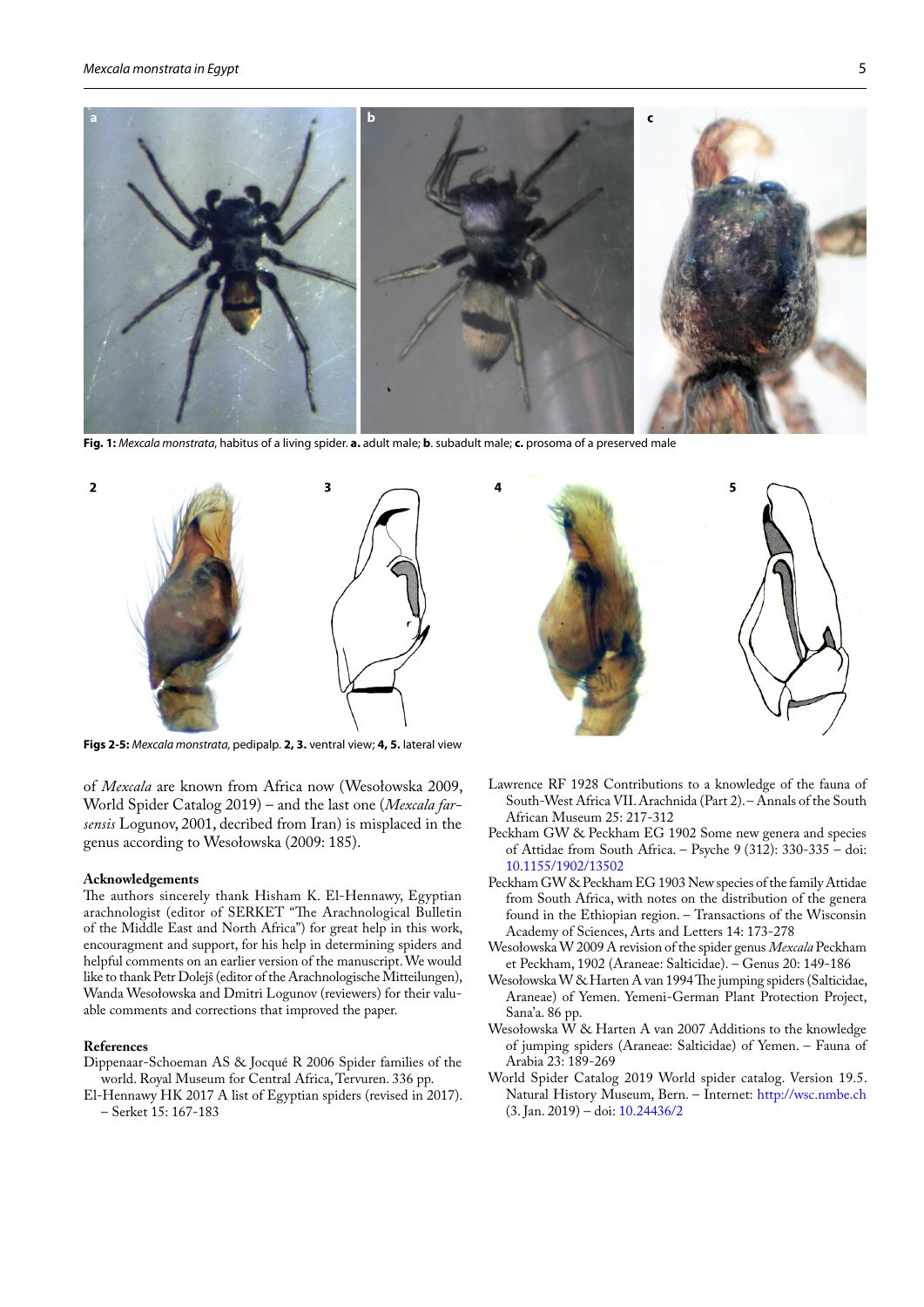

**Fig. 1:** *Mexcala monstrata*, habitus of a living spider. **a.** adult male; **b**. subadult male; **c.** prosoma of a preserved male



**Figs 2-5:** *Mexcala monstrata,* pedipalp. **2, 3.** ventral view; **4, 5.** lateral view

of *Mexcala* are known from Africa now (Wesołowska 2009, World Spider Catalog 2019) – and the last one (*Mexcala farsensis* Logunov, 2001, decribed from Iran) is misplaced in the genus according to Wesołowska (2009: 185).

#### **Acknowledgements**

The authors sincerely thank Hisham K. El-Hennawy, Egyptian arachnologist (editor of SERKET "The Arachnological Bulletin of the Middle East and North Africa") for great help in this work, encouragment and support, for his help in determining spiders and helpful comments on an earlier version of the manuscript. We would like to thank Petr Dolejš (editor of the Arachnologische Mitteilungen), Wanda Wesołowska and Dmitri Logunov (reviewers) for their valuable comments and corrections that improved the paper.

#### **References**

Dippenaar-Schoeman AS & Jocqué R 2006 Spider families of the world. Royal Museum for Central Africa, Tervuren. 336 pp.

El-Hennawy HK 2017 A list of Egyptian spiders (revised in 2017). – Serket 15: 167-183



- Lawrence RF 1928 Contributions to a knowledge of the fauna of South-West Africa VII. Arachnida (Part 2). – Annals of the South African Museum 25: 217-312
- Peckham GW & Peckham EG 1902 Some new genera and species of Attidae from South Africa. – Psyche 9 (312): 330-335 – doi: [10.1155/1902/13502](http://dx.doi.org/10.1155/1902/13502)
- Peckham GW & Peckham EG 1903 New species of the family Attidae from South Africa, with notes on the distribution of the genera found in the Ethiopian region. – Transactions of the Wisconsin Academy of Sciences, Arts and Letters 14: 173-278
- Wesołowska W 2009 A revision of the spider genus *Mexcala* Peckham et Peckham, 1902 (Araneae: Salticidae). – Genus 20: 149-186
- Wesołowska W & Harten A van 1994 The jumping spiders (Salticidae, Araneae) of Yemen. Yemeni-German Plant Protection Project, Sana'a. 86 pp.
- Wesołowska  $\hat{W}$  & Harten A van 2007 Additions to the knowledge of jumping spiders (Araneae: Salticidae) of Yemen. – Fauna of Arabia 23: 189-269
- World Spider Catalog 2019 World spider catalog. Version 19.5. Natural History Museum, Bern. – Internet: <http://wsc.nmbe.ch> (3. Jan. 2019) – doi: [10.24436/2](http://dx.doi.org/10.24436/2)